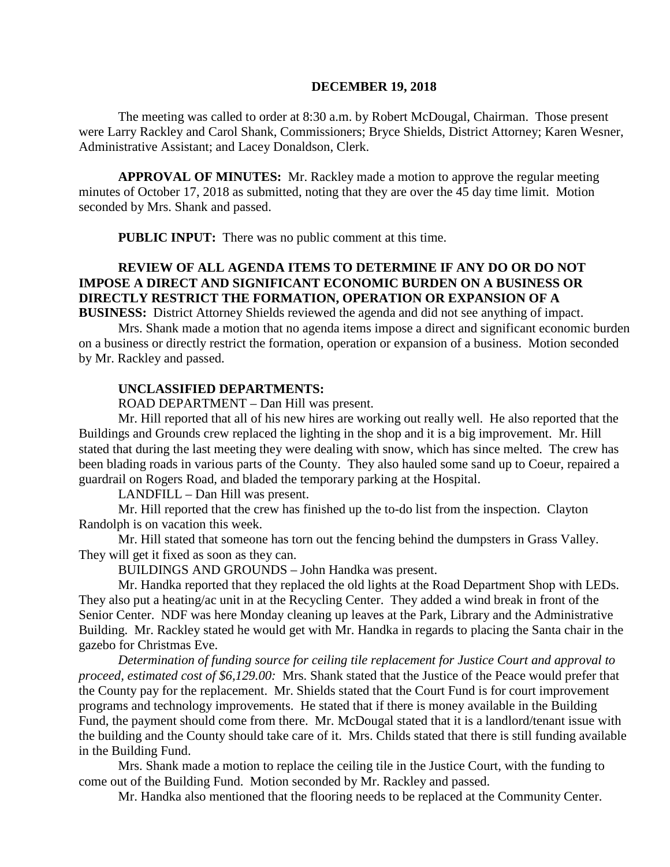#### **DECEMBER 19, 2018**

The meeting was called to order at 8:30 a.m. by Robert McDougal, Chairman. Those present were Larry Rackley and Carol Shank, Commissioners; Bryce Shields, District Attorney; Karen Wesner, Administrative Assistant; and Lacey Donaldson, Clerk.

**APPROVAL OF MINUTES:** Mr. Rackley made a motion to approve the regular meeting minutes of October 17, 2018 as submitted, noting that they are over the 45 day time limit. Motion seconded by Mrs. Shank and passed.

 **PUBLIC INPUT:** There was no public comment at this time.

# **REVIEW OF ALL AGENDA ITEMS TO DETERMINE IF ANY DO OR DO NOT IMPOSE A DIRECT AND SIGNIFICANT ECONOMIC BURDEN ON A BUSINESS OR DIRECTLY RESTRICT THE FORMATION, OPERATION OR EXPANSION OF A**

**BUSINESS:** District Attorney Shields reviewed the agenda and did not see anything of impact.

Mrs. Shank made a motion that no agenda items impose a direct and significant economic burden on a business or directly restrict the formation, operation or expansion of a business. Motion seconded by Mr. Rackley and passed.

#### **UNCLASSIFIED DEPARTMENTS:**

ROAD DEPARTMENT – Dan Hill was present.

Mr. Hill reported that all of his new hires are working out really well. He also reported that the Buildings and Grounds crew replaced the lighting in the shop and it is a big improvement. Mr. Hill stated that during the last meeting they were dealing with snow, which has since melted. The crew has been blading roads in various parts of the County. They also hauled some sand up to Coeur, repaired a guardrail on Rogers Road, and bladed the temporary parking at the Hospital.

LANDFILL – Dan Hill was present.

Mr. Hill reported that the crew has finished up the to-do list from the inspection. Clayton Randolph is on vacation this week.

Mr. Hill stated that someone has torn out the fencing behind the dumpsters in Grass Valley. They will get it fixed as soon as they can.

BUILDINGS AND GROUNDS – John Handka was present.

Mr. Handka reported that they replaced the old lights at the Road Department Shop with LEDs. They also put a heating/ac unit in at the Recycling Center. They added a wind break in front of the Senior Center. NDF was here Monday cleaning up leaves at the Park, Library and the Administrative Building. Mr. Rackley stated he would get with Mr. Handka in regards to placing the Santa chair in the gazebo for Christmas Eve.

*Determination of funding source for ceiling tile replacement for Justice Court and approval to proceed, estimated cost of \$6,129.00:* Mrs. Shank stated that the Justice of the Peace would prefer that the County pay for the replacement. Mr. Shields stated that the Court Fund is for court improvement programs and technology improvements. He stated that if there is money available in the Building Fund, the payment should come from there. Mr. McDougal stated that it is a landlord/tenant issue with the building and the County should take care of it. Mrs. Childs stated that there is still funding available in the Building Fund.

Mrs. Shank made a motion to replace the ceiling tile in the Justice Court, with the funding to come out of the Building Fund. Motion seconded by Mr. Rackley and passed.

Mr. Handka also mentioned that the flooring needs to be replaced at the Community Center.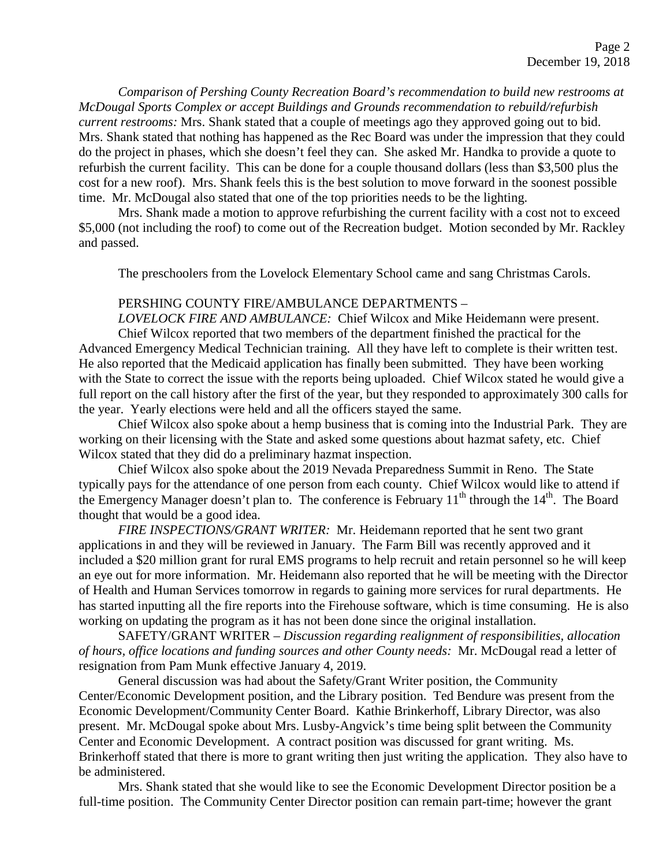*Comparison of Pershing County Recreation Board's recommendation to build new restrooms at McDougal Sports Complex or accept Buildings and Grounds recommendation to rebuild/refurbish current restrooms:* Mrs. Shank stated that a couple of meetings ago they approved going out to bid. Mrs. Shank stated that nothing has happened as the Rec Board was under the impression that they could do the project in phases, which she doesn't feel they can. She asked Mr. Handka to provide a quote to refurbish the current facility. This can be done for a couple thousand dollars (less than \$3,500 plus the cost for a new roof). Mrs. Shank feels this is the best solution to move forward in the soonest possible time. Mr. McDougal also stated that one of the top priorities needs to be the lighting.

Mrs. Shank made a motion to approve refurbishing the current facility with a cost not to exceed \$5,000 (not including the roof) to come out of the Recreation budget. Motion seconded by Mr. Rackley and passed.

The preschoolers from the Lovelock Elementary School came and sang Christmas Carols.

## PERSHING COUNTY FIRE/AMBULANCE DEPARTMENTS –

*LOVELOCK FIRE AND AMBULANCE:* Chief Wilcox and Mike Heidemann were present. Chief Wilcox reported that two members of the department finished the practical for the Advanced Emergency Medical Technician training. All they have left to complete is their written test. He also reported that the Medicaid application has finally been submitted. They have been working with the State to correct the issue with the reports being uploaded. Chief Wilcox stated he would give a full report on the call history after the first of the year, but they responded to approximately 300 calls for the year. Yearly elections were held and all the officers stayed the same.

Chief Wilcox also spoke about a hemp business that is coming into the Industrial Park. They are working on their licensing with the State and asked some questions about hazmat safety, etc. Chief Wilcox stated that they did do a preliminary hazmat inspection.

Chief Wilcox also spoke about the 2019 Nevada Preparedness Summit in Reno. The State typically pays for the attendance of one person from each county. Chief Wilcox would like to attend if the Emergency Manager doesn't plan to. The conference is February  $11<sup>th</sup>$  through the  $14<sup>th</sup>$ . The Board thought that would be a good idea.

*FIRE INSPECTIONS/GRANT WRITER:* Mr. Heidemann reported that he sent two grant applications in and they will be reviewed in January. The Farm Bill was recently approved and it included a \$20 million grant for rural EMS programs to help recruit and retain personnel so he will keep an eye out for more information. Mr. Heidemann also reported that he will be meeting with the Director of Health and Human Services tomorrow in regards to gaining more services for rural departments. He has started inputting all the fire reports into the Firehouse software, which is time consuming. He is also working on updating the program as it has not been done since the original installation.

SAFETY/GRANT WRITER – *Discussion regarding realignment of responsibilities, allocation of hours, office locations and funding sources and other County needs:* Mr. McDougal read a letter of resignation from Pam Munk effective January 4, 2019.

General discussion was had about the Safety/Grant Writer position, the Community Center/Economic Development position, and the Library position. Ted Bendure was present from the Economic Development/Community Center Board. Kathie Brinkerhoff, Library Director, was also present. Mr. McDougal spoke about Mrs. Lusby-Angvick's time being split between the Community Center and Economic Development. A contract position was discussed for grant writing. Ms. Brinkerhoff stated that there is more to grant writing then just writing the application. They also have to be administered.

Mrs. Shank stated that she would like to see the Economic Development Director position be a full-time position. The Community Center Director position can remain part-time; however the grant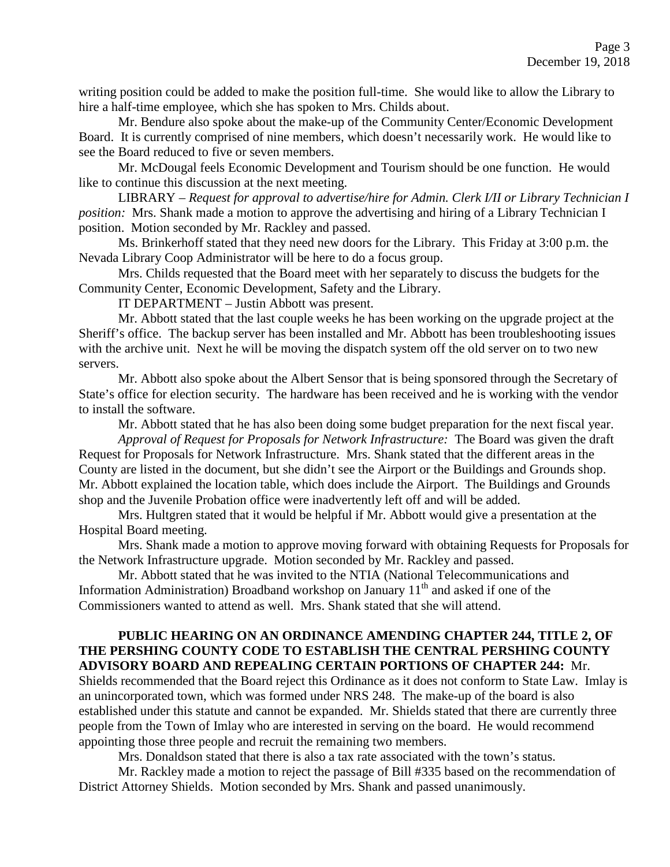writing position could be added to make the position full-time. She would like to allow the Library to hire a half-time employee, which she has spoken to Mrs. Childs about.

Mr. Bendure also spoke about the make-up of the Community Center/Economic Development Board. It is currently comprised of nine members, which doesn't necessarily work. He would like to see the Board reduced to five or seven members.

Mr. McDougal feels Economic Development and Tourism should be one function. He would like to continue this discussion at the next meeting.

LIBRARY – *Request for approval to advertise/hire for Admin. Clerk I/II or Library Technician I position:* Mrs. Shank made a motion to approve the advertising and hiring of a Library Technician I position. Motion seconded by Mr. Rackley and passed.

Ms. Brinkerhoff stated that they need new doors for the Library. This Friday at 3:00 p.m. the Nevada Library Coop Administrator will be here to do a focus group.

Mrs. Childs requested that the Board meet with her separately to discuss the budgets for the Community Center, Economic Development, Safety and the Library.

IT DEPARTMENT – Justin Abbott was present.

Mr. Abbott stated that the last couple weeks he has been working on the upgrade project at the Sheriff's office. The backup server has been installed and Mr. Abbott has been troubleshooting issues with the archive unit. Next he will be moving the dispatch system off the old server on to two new servers.

Mr. Abbott also spoke about the Albert Sensor that is being sponsored through the Secretary of State's office for election security. The hardware has been received and he is working with the vendor to install the software.

Mr. Abbott stated that he has also been doing some budget preparation for the next fiscal year.

*Approval of Request for Proposals for Network Infrastructure:* The Board was given the draft Request for Proposals for Network Infrastructure. Mrs. Shank stated that the different areas in the County are listed in the document, but she didn't see the Airport or the Buildings and Grounds shop. Mr. Abbott explained the location table, which does include the Airport. The Buildings and Grounds shop and the Juvenile Probation office were inadvertently left off and will be added.

Mrs. Hultgren stated that it would be helpful if Mr. Abbott would give a presentation at the Hospital Board meeting.

Mrs. Shank made a motion to approve moving forward with obtaining Requests for Proposals for the Network Infrastructure upgrade. Motion seconded by Mr. Rackley and passed.

Mr. Abbott stated that he was invited to the NTIA (National Telecommunications and Information Administration) Broadband workshop on January  $11<sup>th</sup>$  and asked if one of the Commissioners wanted to attend as well. Mrs. Shank stated that she will attend.

# **PUBLIC HEARING ON AN ORDINANCE AMENDING CHAPTER 244, TITLE 2, OF THE PERSHING COUNTY CODE TO ESTABLISH THE CENTRAL PERSHING COUNTY ADVISORY BOARD AND REPEALING CERTAIN PORTIONS OF CHAPTER 244:** Mr.

Shields recommended that the Board reject this Ordinance as it does not conform to State Law. Imlay is an unincorporated town, which was formed under NRS 248. The make-up of the board is also established under this statute and cannot be expanded. Mr. Shields stated that there are currently three people from the Town of Imlay who are interested in serving on the board. He would recommend appointing those three people and recruit the remaining two members.

Mrs. Donaldson stated that there is also a tax rate associated with the town's status.

Mr. Rackley made a motion to reject the passage of Bill #335 based on the recommendation of District Attorney Shields. Motion seconded by Mrs. Shank and passed unanimously.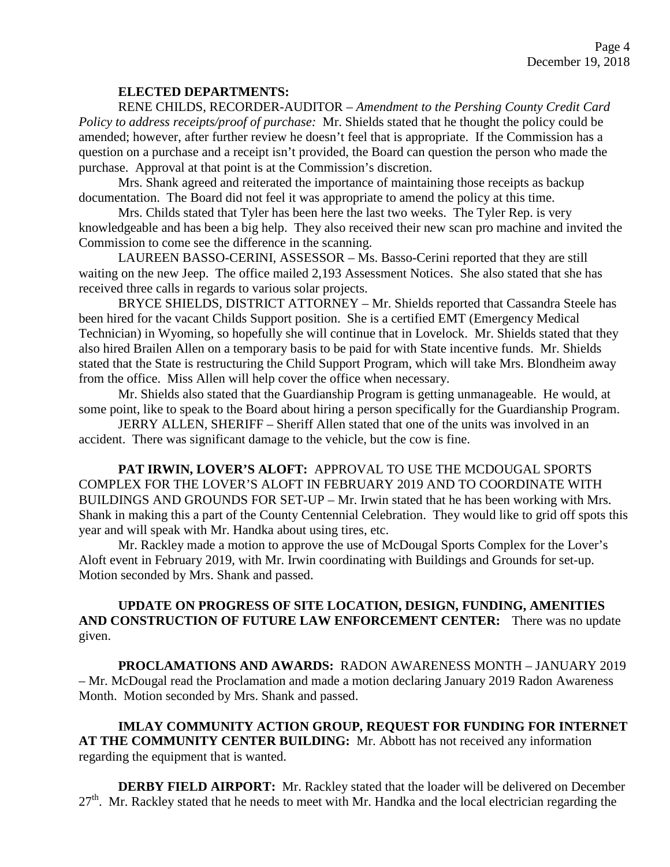## **ELECTED DEPARTMENTS:**

RENE CHILDS, RECORDER-AUDITOR – *Amendment to the Pershing County Credit Card Policy to address receipts/proof of purchase:* Mr. Shields stated that he thought the policy could be amended; however, after further review he doesn't feel that is appropriate. If the Commission has a question on a purchase and a receipt isn't provided, the Board can question the person who made the purchase. Approval at that point is at the Commission's discretion.

Mrs. Shank agreed and reiterated the importance of maintaining those receipts as backup documentation. The Board did not feel it was appropriate to amend the policy at this time.

Mrs. Childs stated that Tyler has been here the last two weeks. The Tyler Rep. is very knowledgeable and has been a big help. They also received their new scan pro machine and invited the Commission to come see the difference in the scanning.

LAUREEN BASSO-CERINI, ASSESSOR – Ms. Basso-Cerini reported that they are still waiting on the new Jeep. The office mailed 2,193 Assessment Notices. She also stated that she has received three calls in regards to various solar projects.

BRYCE SHIELDS, DISTRICT ATTORNEY – Mr. Shields reported that Cassandra Steele has been hired for the vacant Childs Support position. She is a certified EMT (Emergency Medical Technician) in Wyoming, so hopefully she will continue that in Lovelock. Mr. Shields stated that they also hired Brailen Allen on a temporary basis to be paid for with State incentive funds. Mr. Shields stated that the State is restructuring the Child Support Program, which will take Mrs. Blondheim away from the office. Miss Allen will help cover the office when necessary.

Mr. Shields also stated that the Guardianship Program is getting unmanageable. He would, at some point, like to speak to the Board about hiring a person specifically for the Guardianship Program.

JERRY ALLEN, SHERIFF – Sheriff Allen stated that one of the units was involved in an accident. There was significant damage to the vehicle, but the cow is fine.

**PAT IRWIN, LOVER'S ALOFT:** APPROVAL TO USE THE MCDOUGAL SPORTS COMPLEX FOR THE LOVER'S ALOFT IN FEBRUARY 2019 AND TO COORDINATE WITH BUILDINGS AND GROUNDS FOR SET-UP – Mr. Irwin stated that he has been working with Mrs. Shank in making this a part of the County Centennial Celebration. They would like to grid off spots this year and will speak with Mr. Handka about using tires, etc.

Mr. Rackley made a motion to approve the use of McDougal Sports Complex for the Lover's Aloft event in February 2019, with Mr. Irwin coordinating with Buildings and Grounds for set-up. Motion seconded by Mrs. Shank and passed.

# **UPDATE ON PROGRESS OF SITE LOCATION, DESIGN, FUNDING, AMENITIES AND CONSTRUCTION OF FUTURE LAW ENFORCEMENT CENTER:** There was no update given.

**PROCLAMATIONS AND AWARDS:** RADON AWARENESS MONTH – JANUARY 2019 – Mr. McDougal read the Proclamation and made a motion declaring January 2019 Radon Awareness Month. Motion seconded by Mrs. Shank and passed.

**IMLAY COMMUNITY ACTION GROUP, REQUEST FOR FUNDING FOR INTERNET AT THE COMMUNITY CENTER BUILDING:** Mr. Abbott has not received any information regarding the equipment that is wanted.

**DERBY FIELD AIRPORT:** Mr. Rackley stated that the loader will be delivered on December  $27<sup>th</sup>$ . Mr. Rackley stated that he needs to meet with Mr. Handka and the local electrician regarding the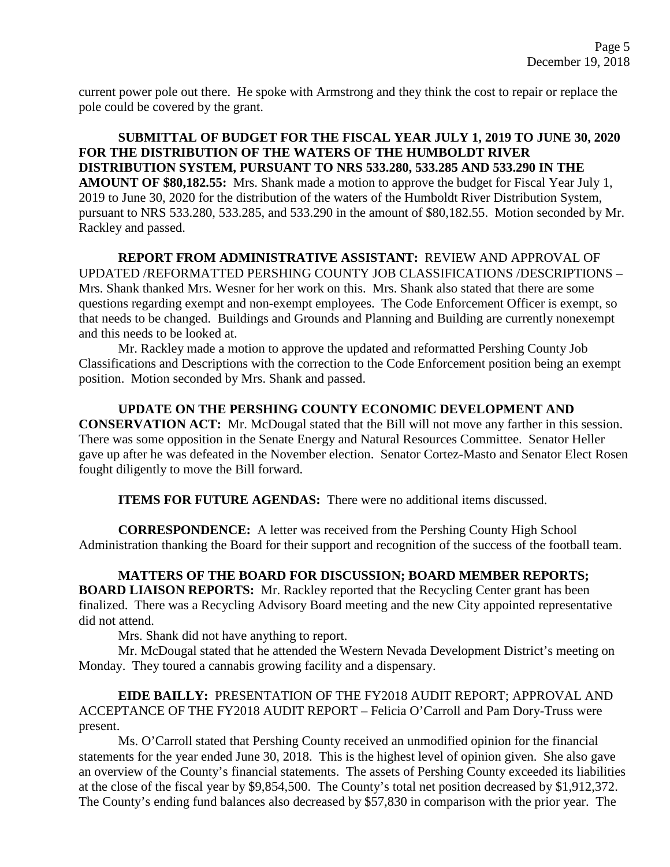current power pole out there. He spoke with Armstrong and they think the cost to repair or replace the pole could be covered by the grant.

**SUBMITTAL OF BUDGET FOR THE FISCAL YEAR JULY 1, 2019 TO JUNE 30, 2020 FOR THE DISTRIBUTION OF THE WATERS OF THE HUMBOLDT RIVER DISTRIBUTION SYSTEM, PURSUANT TO NRS 533.280, 533.285 AND 533.290 IN THE AMOUNT OF \$80,182.55:** Mrs. Shank made a motion to approve the budget for Fiscal Year July 1, 2019 to June 30, 2020 for the distribution of the waters of the Humboldt River Distribution System, pursuant to NRS 533.280, 533.285, and 533.290 in the amount of \$80,182.55. Motion seconded by Mr. Rackley and passed.

**REPORT FROM ADMINISTRATIVE ASSISTANT:** REVIEW AND APPROVAL OF UPDATED /REFORMATTED PERSHING COUNTY JOB CLASSIFICATIONS /DESCRIPTIONS – Mrs. Shank thanked Mrs. Wesner for her work on this. Mrs. Shank also stated that there are some questions regarding exempt and non-exempt employees. The Code Enforcement Officer is exempt, so that needs to be changed. Buildings and Grounds and Planning and Building are currently nonexempt and this needs to be looked at.

Mr. Rackley made a motion to approve the updated and reformatted Pershing County Job Classifications and Descriptions with the correction to the Code Enforcement position being an exempt position. Motion seconded by Mrs. Shank and passed.

**UPDATE ON THE PERSHING COUNTY ECONOMIC DEVELOPMENT AND CONSERVATION ACT:** Mr. McDougal stated that the Bill will not move any farther in this session. There was some opposition in the Senate Energy and Natural Resources Committee. Senator Heller gave up after he was defeated in the November election. Senator Cortez-Masto and Senator Elect Rosen fought diligently to move the Bill forward.

**ITEMS FOR FUTURE AGENDAS:** There were no additional items discussed.

**CORRESPONDENCE:** A letter was received from the Pershing County High School Administration thanking the Board for their support and recognition of the success of the football team.

**MATTERS OF THE BOARD FOR DISCUSSION; BOARD MEMBER REPORTS; BOARD LIAISON REPORTS:** Mr. Rackley reported that the Recycling Center grant has been finalized. There was a Recycling Advisory Board meeting and the new City appointed representative did not attend.

Mrs. Shank did not have anything to report.

Mr. McDougal stated that he attended the Western Nevada Development District's meeting on Monday. They toured a cannabis growing facility and a dispensary.

**EIDE BAILLY:** PRESENTATION OF THE FY2018 AUDIT REPORT; APPROVAL AND ACCEPTANCE OF THE FY2018 AUDIT REPORT – Felicia O'Carroll and Pam Dory-Truss were present.

Ms. O'Carroll stated that Pershing County received an unmodified opinion for the financial statements for the year ended June 30, 2018. This is the highest level of opinion given. She also gave an overview of the County's financial statements. The assets of Pershing County exceeded its liabilities at the close of the fiscal year by \$9,854,500. The County's total net position decreased by \$1,912,372. The County's ending fund balances also decreased by \$57,830 in comparison with the prior year. The